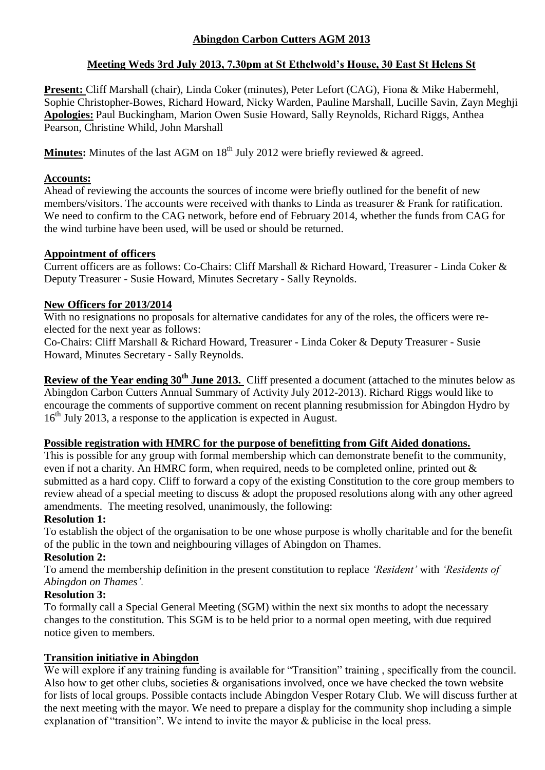# **Abingdon Carbon Cutters AGM 2013**

# **Meeting Weds 3rd July 2013, 7.30pm at St Ethelwold's House, 30 East St Helens St**

**Present:** Cliff Marshall (chair), Linda Coker (minutes), Peter Lefort (CAG), Fiona & Mike Habermehl, Sophie Christopher-Bowes, Richard Howard, Nicky Warden, Pauline Marshall, Lucille Savin, Zayn Meghji **Apologies:** Paul Buckingham, Marion Owen Susie Howard, Sally Reynolds, Richard Riggs, Anthea Pearson, Christine Whild, John Marshall

**Minutes:** Minutes of the last AGM on 18<sup>th</sup> July 2012 were briefly reviewed & agreed.

## **Accounts:**

Ahead of reviewing the accounts the sources of income were briefly outlined for the benefit of new members/visitors. The accounts were received with thanks to Linda as treasurer & Frank for ratification. We need to confirm to the CAG network, before end of February 2014, whether the funds from CAG for the wind turbine have been used, will be used or should be returned.

# **Appointment of officers**

Current officers are as follows: Co-Chairs: Cliff Marshall & Richard Howard, Treasurer - Linda Coker & Deputy Treasurer - Susie Howard, Minutes Secretary - Sally Reynolds.

# **New Officers for 2013/2014**

With no resignations no proposals for alternative candidates for any of the roles, the officers were reelected for the next year as follows:

Co-Chairs: Cliff Marshall & Richard Howard, Treasurer - Linda Coker & Deputy Treasurer - Susie Howard, Minutes Secretary - Sally Reynolds.

**Review of the Year ending 30th June 2013.** Cliff presented a document (attached to the minutes below as Abingdon Carbon Cutters Annual Summary of Activity July 2012-2013). Richard Riggs would like to encourage the comments of supportive comment on recent planning resubmission for Abingdon Hydro by 16<sup>th</sup> July 2013, a response to the application is expected in August.

### **Possible registration with HMRC for the purpose of benefitting from Gift Aided donations.**

This is possible for any group with formal membership which can demonstrate benefit to the community, even if not a charity. An HMRC form, when required, needs to be completed online, printed out & submitted as a hard copy. Cliff to forward a copy of the existing Constitution to the core group members to review ahead of a special meeting to discuss & adopt the proposed resolutions along with any other agreed amendments. The meeting resolved, unanimously, the following:

### **Resolution 1:**

To establish the object of the organisation to be one whose purpose is wholly charitable and for the benefit of the public in the town and neighbouring villages of Abingdon on Thames.

### **Resolution 2:**

To amend the membership definition in the present constitution to replace *'Resident'* with *'Residents of Abingdon on Thames'.*

### **Resolution 3:**

To formally call a Special General Meeting (SGM) within the next six months to adopt the necessary changes to the constitution. This SGM is to be held prior to a normal open meeting, with due required notice given to members.

# **Transition initiative in Abingdon**

We will explore if any training funding is available for "Transition" training, specifically from the council. Also how to get other clubs, societies & organisations involved, once we have checked the town website for lists of local groups. Possible contacts include Abingdon Vesper Rotary Club. We will discuss further at the next meeting with the mayor. We need to prepare a display for the community shop including a simple explanation of "transition". We intend to invite the mayor & publicise in the local press.